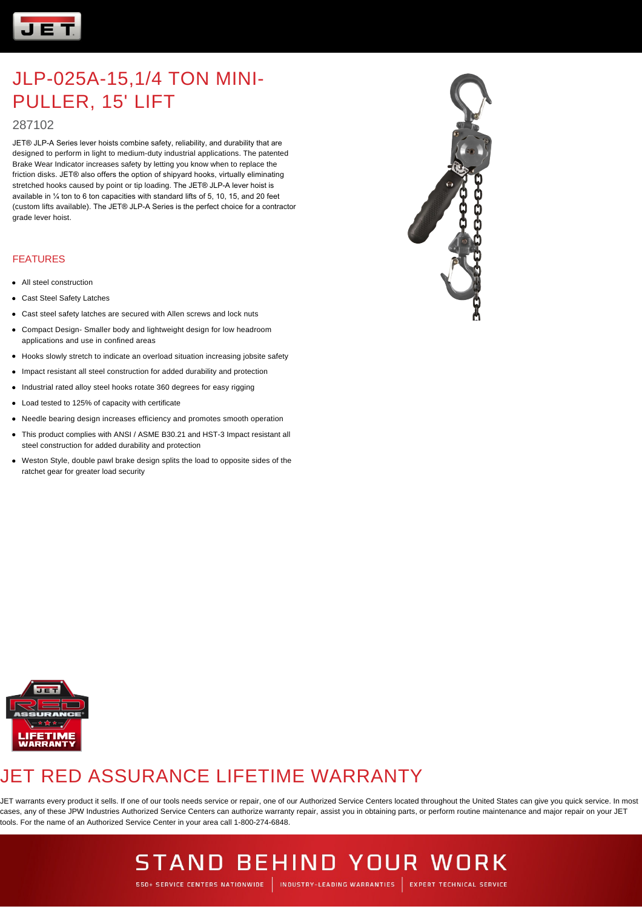

### 287102

JET® JLP-A Series lever hoists combine safety, reliability, and durability that are designed to perform in light to medium-duty industrial applications. The patented Brake Wear Indicator increases safety by letting you know when to replace the friction disks. JET® also offers the option of shipyard hooks, virtually eliminating stretched hooks caused by point or tip loading. The JET® JLP-A lever hoist is available in ¼ ton to 6 ton capacities with standard lifts of 5, 10, 15, and 20 feet (custom lifts available). The JET® JLP-A Series is the perfect choice for a contractor grade lever hoist.

#### FEATURES

- All steel construction
- Cast Steel Safety Latches
- Cast steel safety latches are secured with Allen screws and lock nuts
- Compact Design- Smaller body and lightweight design for low headroom applications and use in confined areas
- Hooks slowly stretch to indicate an overload situation increasing jobsite safety
- $\bullet$ Impact resistant all steel construction for added durability and protection
- Industrial rated alloy steel hooks rotate 360 degrees for easy rigging
- Load tested to 125% of capacity with certificate
- Needle bearing design increases efficiency and promotes smooth operation
- This product complies with ANSI / ASME B30.21 and HST-3 Impact resistant all steel construction for added durability and protection
- Weston Style, double pawl brake design splits the load to opposite sides of the ratchet gear for greater load security





## JET RED ASSURANCE LIFETIME WARRANTY

JET warrants every product it sells. If one of our tools needs service or repair, one of our Authorized Service Centers located throughout the United States can give you quick service. In most cases, any of these JPW Industries Authorized Service Centers can authorize warranty repair, assist you in obtaining parts, or perform routine maintenance and major repair on your JET tools. For the name of an Authorized Service Center in your area call 1-800-274-6848.

## **STAND BEHIND YOUR WORK**

550+ SERVICE CENTERS NATIONWIDE | INDUSTRY-LEADING WARRANTIES | EXPERT TECHNICAL SERVICE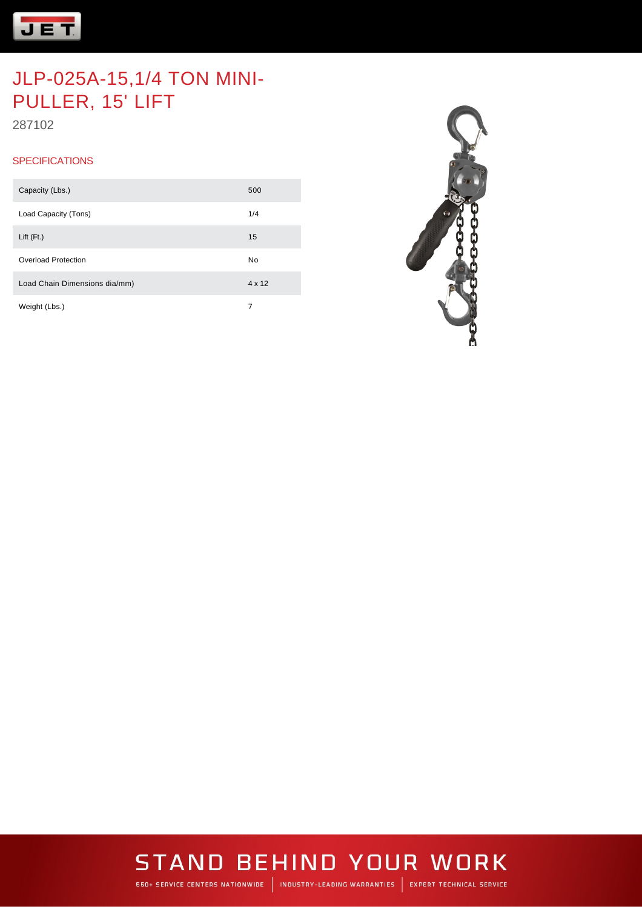

287102

#### **SPECIFICATIONS**

| Capacity (Lbs.)               | 500    |
|-------------------------------|--------|
| Load Capacity (Tons)          | 1/4    |
| Lift $(Ft)$                   | 15     |
| Overload Protection           | No     |
| Load Chain Dimensions dia/mm) | 4 x 12 |
| Weight (Lbs.)                 | 7      |



## **STAND BEHIND YOUR WORK**

550+ SERVICE CENTERS NATIONWIDE | INDUSTRY-LEADING WARRANTIES | EXPERT TECHNICAL SERVICE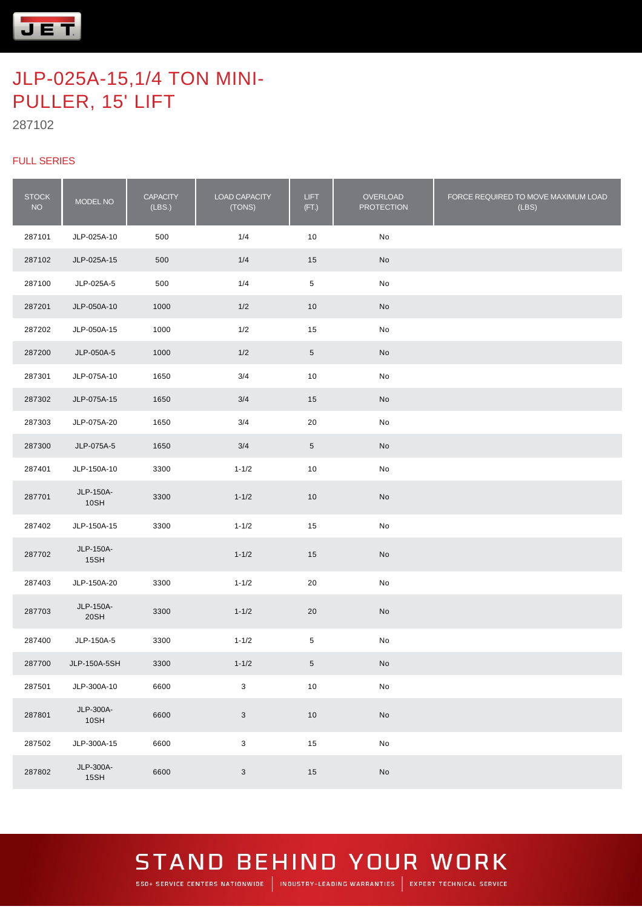

287102

#### FULL SERIES

| <b>STOCK</b><br><b>NO</b> | MODEL NO          | <b>CAPACITY</b><br>(LBS.) | LOAD CAPACITY<br>(TONS)   | <b>LIFT</b><br>(FT.) | OVERLOAD<br><b>PROTECTION</b> | FORCE REQUIRED TO MOVE MAXIMUM LOAD<br>(LBS) |
|---------------------------|-------------------|---------------------------|---------------------------|----------------------|-------------------------------|----------------------------------------------|
| 287101                    | JLP-025A-10       | 500                       | 1/4                       | 10                   | No                            |                                              |
| 287102                    | JLP-025A-15       | 500                       | 1/4                       | 15                   | No                            |                                              |
| 287100                    | JLP-025A-5        | 500                       | 1/4                       | $\,$ 5 $\,$          | No                            |                                              |
| 287201                    | JLP-050A-10       | 1000                      | 1/2                       | 10                   | No                            |                                              |
| 287202                    | JLP-050A-15       | 1000                      | 1/2                       | 15                   | No                            |                                              |
| 287200                    | JLP-050A-5        | 1000                      | 1/2                       | $5\phantom{.0}$      | No                            |                                              |
| 287301                    | JLP-075A-10       | 1650                      | 3/4                       | 10                   | No                            |                                              |
| 287302                    | JLP-075A-15       | 1650                      | 3/4                       | 15                   | No                            |                                              |
| 287303                    | JLP-075A-20       | 1650                      | 3/4                       | 20                   | No                            |                                              |
| 287300                    | JLP-075A-5        | 1650                      | 3/4                       | $5\phantom{.0}$      | No                            |                                              |
| 287401                    | JLP-150A-10       | 3300                      | $1 - 1/2$                 | 10                   | No                            |                                              |
| 287701                    | JLP-150A-<br>10SH | 3300                      | $1 - 1/2$                 | 10                   | No                            |                                              |
| 287402                    | JLP-150A-15       | 3300                      | $1 - 1/2$                 | 15                   | No                            |                                              |
| 287702                    | JLP-150A-<br>15SH |                           | $1 - 1/2$                 | 15                   | No                            |                                              |
| 287403                    | JLP-150A-20       | 3300                      | $1 - 1/2$                 | 20                   | No                            |                                              |
| 287703                    | JLP-150A-<br>20SH | 3300                      | $1 - 1/2$                 | 20                   | No                            |                                              |
| 287400                    | JLP-150A-5        | 3300                      | $1 - 1/2$                 | $5\phantom{.0}$      | No                            |                                              |
| 287700                    | JLP-150A-5SH      | 3300                      | $1 - 1/2$                 | 5 <sup>5</sup>       | No                            |                                              |
| 287501                    | JLP-300A-10       | 6600                      | $\mathsf 3$               | $10$                 | $\mathsf{No}$                 |                                              |
| 287801                    | JLP-300A-<br>10SH | 6600                      | $\mathbf{3}$              | $10$                 | $\operatorname{\mathsf{No}}$  |                                              |
| 287502                    | JLP-300A-15       | 6600                      | $\ensuremath{\mathsf{3}}$ | 15                   | $\mathsf{No}$                 |                                              |
| 287802                    | JLP-300A-<br>15SH | 6600                      | $\mathbf{3}$              | 15                   | No                            |                                              |

### **STAND BEHIND YOUR WORK** 550+ SERVICE CENTERS NATIONWIDE | INDUSTRY-LEADING WARRANTIES | EXPERT TECHNICAL SERVICE